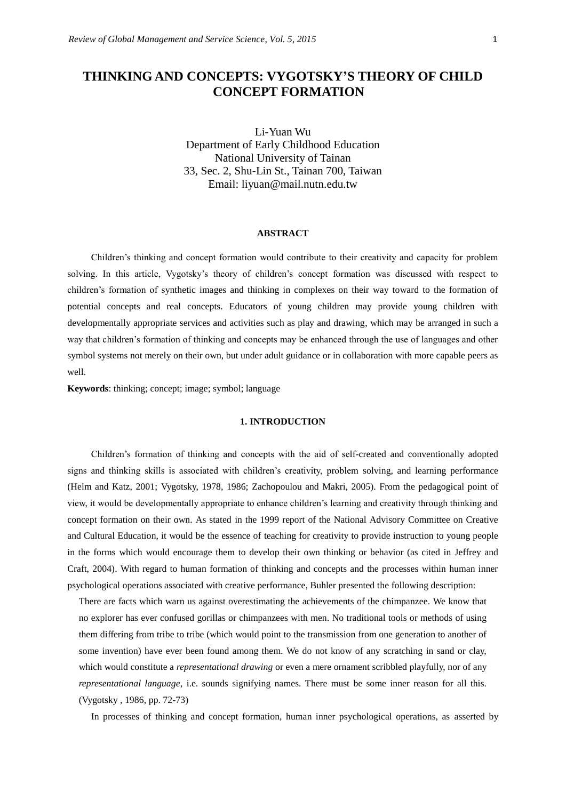# **THINKING AND CONCEPTS: VYGOTSKY'S THEORY OF CHILD CONCEPT FORMATION**

Li-Yuan Wu Department of Early Childhood Education National University of Tainan 33, Sec. 2, Shu-Lin St., Tainan 700, Taiwan Email: liyuan@mail.nutn.edu.tw

### **ABSTRACT**

Children's thinking and concept formation would contribute to their creativity and capacity for problem solving. In this article, Vygotsky's theory of children's concept formation was discussed with respect to children's formation of synthetic images and thinking in complexes on their way toward to the formation of potential concepts and real concepts. Educators of young children may provide young children with developmentally appropriate services and activities such as play and drawing, which may be arranged in such a way that children's formation of thinking and concepts may be enhanced through the use of languages and other symbol systems not merely on their own, but under adult guidance or in collaboration with more capable peers as well.

**Keywords**: thinking; concept; image; symbol; language

## **1. INTRODUCTION**

Children's formation of thinking and concepts with the aid of self-created and conventionally adopted signs and thinking skills is associated with children's creativity, problem solving, and learning performance (Helm and Katz, 2001; Vygotsky, 1978, 1986; Zachopoulou and Makri, 2005). From the pedagogical point of view, it would be developmentally appropriate to enhance children's learning and creativity through thinking and concept formation on their own. As stated in the 1999 report of the National Advisory Committee on Creative and Cultural Education, it would be the essence of teaching for creativity to provide instruction to young people in the forms which would encourage them to develop their own thinking or behavior (as cited in Jeffrey and Craft, 2004). With regard to human formation of thinking and concepts and the processes within human inner psychological operations associated with creative performance, Buhler presented the following description:

There are facts which warn us against overestimating the achievements of the chimpanzee. We know that no explorer has ever confused gorillas or chimpanzees with men. No traditional tools or methods of using them differing from tribe to tribe (which would point to the transmission from one generation to another of some invention) have ever been found among them. We do not know of any scratching in sand or clay, which would constitute a *representational drawing* or even a mere ornament scribbled playfully, nor of any *representational language*, i.e. sounds signifying names. There must be some inner reason for all this. (Vygotsky , 1986, pp. 72-73)

In processes of thinking and concept formation, human inner psychological operations, as asserted by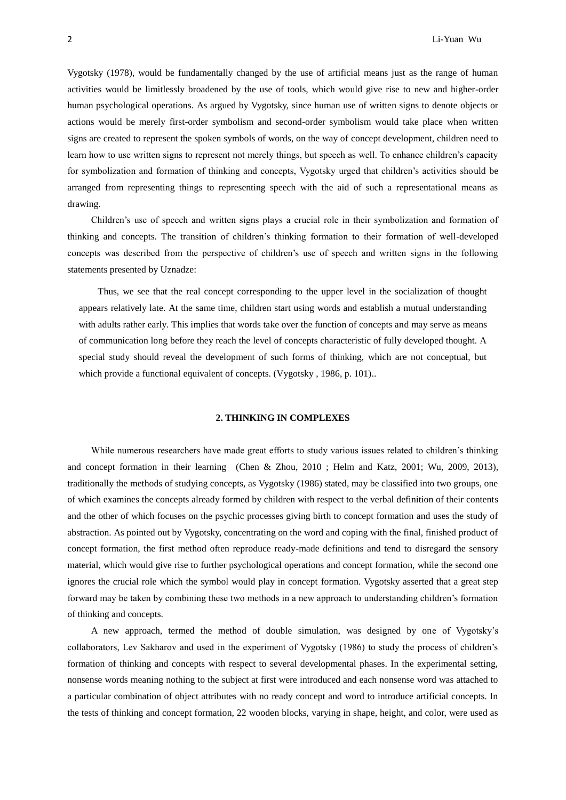Vygotsky (1978), would be fundamentally changed by the use of artificial means just as the range of human activities would be limitlessly broadened by the use of tools, which would give rise to new and higher-order human psychological operations. As argued by Vygotsky, since human use of written signs to denote objects or actions would be merely first-order symbolism and second-order symbolism would take place when written signs are created to represent the spoken symbols of words, on the way of concept development, children need to learn how to use written signs to represent not merely things, but speech as well. To enhance children's capacity for symbolization and formation of thinking and concepts, Vygotsky urged that children's activities should be arranged from representing things to representing speech with the aid of such a representational means as drawing.

Children's use of speech and written signs plays a crucial role in their symbolization and formation of thinking and concepts. The transition of children's thinking formation to their formation of well-developed concepts was described from the perspective of children's use of speech and written signs in the following statements presented by Uznadze:

Thus, we see that the real concept corresponding to the upper level in the socialization of thought appears relatively late. At the same time, children start using words and establish a mutual understanding with adults rather early. This implies that words take over the function of concepts and may serve as means of communication long before they reach the level of concepts characteristic of fully developed thought. A special study should reveal the development of such forms of thinking, which are not conceptual, but which provide a functional equivalent of concepts. (Vygotsky, 1986, p. 101)...

#### **2. THINKING IN COMPLEXES**

While numerous researchers have made great efforts to study various issues related to children's thinking and concept formation in their learning (Chen & Zhou, 2010 ; Helm and Katz, 2001; Wu, 2009, 2013), traditionally the methods of studying concepts, as Vygotsky (1986) stated, may be classified into two groups, one of which examines the concepts already formed by children with respect to the verbal definition of their contents and the other of which focuses on the psychic processes giving birth to concept formation and uses the study of abstraction. As pointed out by Vygotsky, concentrating on the word and coping with the final, finished product of concept formation, the first method often reproduce ready-made definitions and tend to disregard the sensory material, which would give rise to further psychological operations and concept formation, while the second one ignores the crucial role which the symbol would play in concept formation. Vygotsky asserted that a great step forward may be taken by combining these two methods in a new approach to understanding children's formation of thinking and concepts.

A new approach, termed the method of double simulation, was designed by one of Vygotsky's collaborators, Lev Sakharov and used in the experiment of Vygotsky (1986) to study the process of children's formation of thinking and concepts with respect to several developmental phases. In the experimental setting, nonsense words meaning nothing to the subject at first were introduced and each nonsense word was attached to a particular combination of object attributes with no ready concept and word to introduce artificial concepts. In the tests of thinking and concept formation, 22 wooden blocks, varying in shape, height, and color, were used as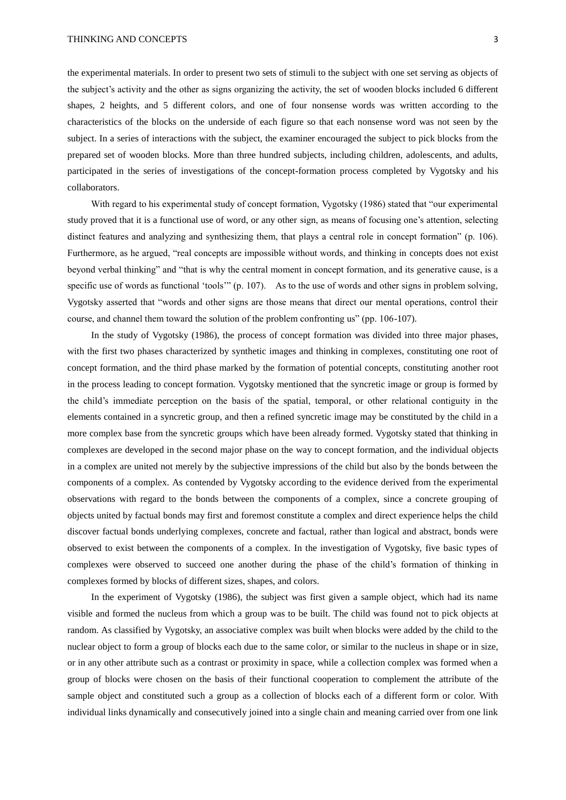the experimental materials. In order to present two sets of stimuli to the subject with one set serving as objects of the subject's activity and the other as signs organizing the activity, the set of wooden blocks included 6 different shapes, 2 heights, and 5 different colors, and one of four nonsense words was written according to the characteristics of the blocks on the underside of each figure so that each nonsense word was not seen by the subject. In a series of interactions with the subject, the examiner encouraged the subject to pick blocks from the prepared set of wooden blocks. More than three hundred subjects, including children, adolescents, and adults, participated in the series of investigations of the concept-formation process completed by Vygotsky and his collaborators.

With regard to his experimental study of concept formation, Vygotsky (1986) stated that "our experimental study proved that it is a functional use of word, or any other sign, as means of focusing one's attention, selecting distinct features and analyzing and synthesizing them, that plays a central role in concept formation" (p. 106). Furthermore, as he argued, "real concepts are impossible without words, and thinking in concepts does not exist beyond verbal thinking" and "that is why the central moment in concept formation, and its generative cause, is a specific use of words as functional 'tools'" (p. 107). As to the use of words and other signs in problem solving, Vygotsky asserted that "words and other signs are those means that direct our mental operations, control their course, and channel them toward the solution of the problem confronting us" (pp. 106-107).

In the study of Vygotsky (1986), the process of concept formation was divided into three major phases, with the first two phases characterized by synthetic images and thinking in complexes, constituting one root of concept formation, and the third phase marked by the formation of potential concepts, constituting another root in the process leading to concept formation. Vygotsky mentioned that the syncretic image or group is formed by the child's immediate perception on the basis of the spatial, temporal, or other relational contiguity in the elements contained in a syncretic group, and then a refined syncretic image may be constituted by the child in a more complex base from the syncretic groups which have been already formed. Vygotsky stated that thinking in complexes are developed in the second major phase on the way to concept formation, and the individual objects in a complex are united not merely by the subjective impressions of the child but also by the bonds between the components of a complex. As contended by Vygotsky according to the evidence derived from the experimental observations with regard to the bonds between the components of a complex, since a concrete grouping of objects united by factual bonds may first and foremost constitute a complex and direct experience helps the child discover factual bonds underlying complexes, concrete and factual, rather than logical and abstract, bonds were observed to exist between the components of a complex. In the investigation of Vygotsky, five basic types of complexes were observed to succeed one another during the phase of the child's formation of thinking in complexes formed by blocks of different sizes, shapes, and colors.

In the experiment of Vygotsky (1986), the subject was first given a sample object, which had its name visible and formed the nucleus from which a group was to be built. The child was found not to pick objects at random. As classified by Vygotsky, an associative complex was built when blocks were added by the child to the nuclear object to form a group of blocks each due to the same color, or similar to the nucleus in shape or in size, or in any other attribute such as a contrast or proximity in space, while a collection complex was formed when a group of blocks were chosen on the basis of their functional cooperation to complement the attribute of the sample object and constituted such a group as a collection of blocks each of a different form or color. With individual links dynamically and consecutively joined into a single chain and meaning carried over from one link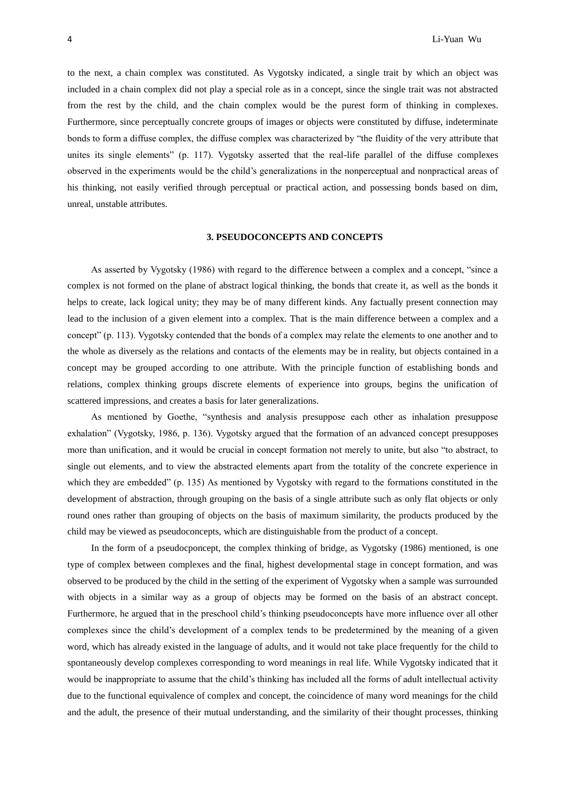to the next, a chain complex was constituted. As Vygotsky indicated, a single trait by which an object was included in a chain complex did not play a special role as in a concept, since the single trait was not abstracted from the rest by the child, and the chain complex would be the purest form of thinking in complexes. Furthermore, since perceptually concrete groups of images or objects were constituted by diffuse, indeterminate bonds to form a diffuse complex, the diffuse complex was characterized by "the fluidity of the very attribute that unites its single elements" (p. 117). Vygotsky asserted that the real-life parallel of the diffuse complexes observed in the experiments would be the child's generalizations in the nonperceptual and nonpractical areas of his thinking, not easily verified through perceptual or practical action, and possessing bonds based on dim, unreal, unstable attributes.

# **3. PSEUDOCONCEPTS AND CONCEPTS**

As asserted by Vygotsky (1986) with regard to the difference between a complex and a concept, "since a complex is not formed on the plane of abstract logical thinking, the bonds that create it, as well as the bonds it helps to create, lack logical unity; they may be of many different kinds. Any factually present connection may lead to the inclusion of a given element into a complex. That is the main difference between a complex and a concept" (p. 113). Vygotsky contended that the bonds of a complex may relate the elements to one another and to the whole as diversely as the relations and contacts of the elements may be in reality, but objects contained in a concept may be grouped according to one attribute. With the principle function of establishing bonds and relations, complex thinking groups discrete elements of experience into groups, begins the unification of scattered impressions, and creates a basis for later generalizations.

As mentioned by Goethe, "synthesis and analysis presuppose each other as inhalation presuppose exhalation" (Vygotsky, 1986, p. 136). Vygotsky argued that the formation of an advanced concept presupposes more than unification, and it would be crucial in concept formation not merely to unite, but also "to abstract, to single out elements, and to view the abstracted elements apart from the totality of the concrete experience in which they are embedded" (p. 135) As mentioned by Vygotsky with regard to the formations constituted in the development of abstraction, through grouping on the basis of a single attribute such as only flat objects or only round ones rather than grouping of objects on the basis of maximum similarity, the products produced by the child may be viewed as pseudoconcepts, which are distinguishable from the product of a concept.

In the form of a pseudocponcept, the complex thinking of bridge, as Vygotsky (1986) mentioned, is one type of complex between complexes and the final, highest developmental stage in concept formation, and was observed to be produced by the child in the setting of the experiment of Vygotsky when a sample was surrounded with objects in a similar way as a group of objects may be formed on the basis of an abstract concept. Furthermore, he argued that in the preschool child's thinking pseudoconcepts have more influence over all other complexes since the child's development of a complex tends to be predetermined by the meaning of a given word, which has already existed in the language of adults, and it would not take place frequently for the child to spontaneously develop complexes corresponding to word meanings in real life. While Vygotsky indicated that it would be inappropriate to assume that the child's thinking has included all the forms of adult intellectual activity due to the functional equivalence of complex and concept, the coincidence of many word meanings for the child and the adult, the presence of their mutual understanding, and the similarity of their thought processes, thinking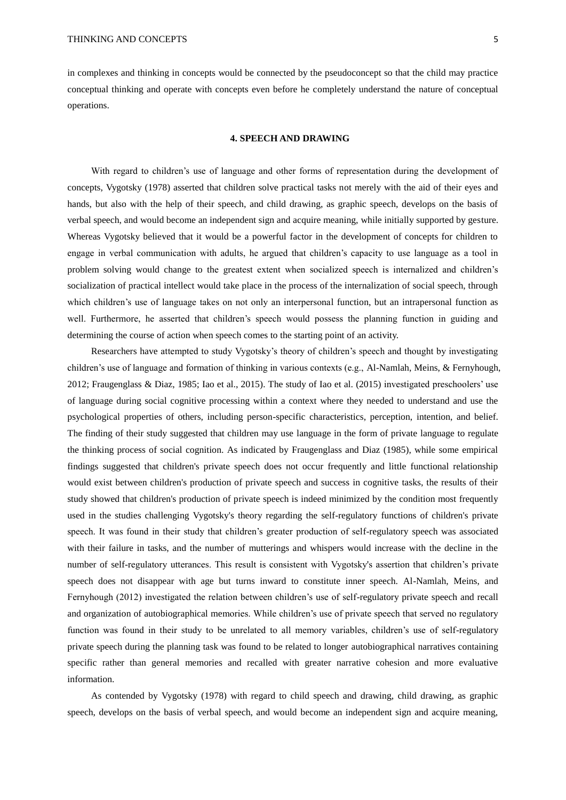in complexes and thinking in concepts would be connected by the pseudoconcept so that the child may practice conceptual thinking and operate with concepts even before he completely understand the nature of conceptual operations.

#### **4. SPEECH AND DRAWING**

With regard to children's use of language and other forms of representation during the development of concepts, Vygotsky (1978) asserted that children solve practical tasks not merely with the aid of their eyes and hands, but also with the help of their speech, and child drawing, as graphic speech, develops on the basis of verbal speech, and would become an independent sign and acquire meaning, while initially supported by gesture. Whereas Vygotsky believed that it would be a powerful factor in the development of concepts for children to engage in verbal communication with adults, he argued that children's capacity to use language as a tool in problem solving would change to the greatest extent when socialized speech is internalized and children's socialization of practical intellect would take place in the process of the internalization of social speech, through which children's use of language takes on not only an interpersonal function, but an intrapersonal function as well. Furthermore, he asserted that children's speech would possess the planning function in guiding and determining the course of action when speech comes to the starting point of an activity.

Researchers have attempted to study Vygotsky's theory of children's speech and thought by investigating children's use of language and formation of thinking in various contexts (e.g., Al-Namlah, Meins, & Fernyhough, 2012; Fraugenglass & Diaz, 1985; Iao et al., 2015). The study of Iao et al. (2015) investigated preschoolers' use of language during social cognitive processing within a context where they needed to understand and use the psychological properties of others, including person-specific characteristics, perception, intention, and belief. The finding of their study suggested that children may use language in the form of private language to regulate the thinking process of social cognition. As indicated by Fraugenglass and Diaz (1985), while some empirical findings suggested that children's private speech does not occur frequently and little functional relationship would exist between children's production of private speech and success in cognitive tasks, the results of their study showed that children's production of private speech is indeed minimized by the condition most frequently used in the studies challenging Vygotsky's theory regarding the self-regulatory functions of children's private speech. It was found in their study that children's greater production of self-regulatory speech was associated with their failure in tasks, and the number of mutterings and whispers would increase with the decline in the number of self-regulatory utterances. This result is consistent with Vygotsky's assertion that children's private speech does not disappear with age but turns inward to constitute inner speech. Al-Namlah, Meins, and Fernyhough (2012) investigated the relation between children's use of self-regulatory private speech and recall and organization of autobiographical memories. While children's use of private speech that served no regulatory function was found in their study to be unrelated to all memory variables, children's use of self-regulatory private speech during the planning task was found to be related to longer autobiographical narratives containing specific rather than general memories and recalled with greater narrative cohesion and more evaluative information.

As contended by Vygotsky (1978) with regard to child speech and drawing, child drawing, as graphic speech, develops on the basis of verbal speech, and would become an independent sign and acquire meaning,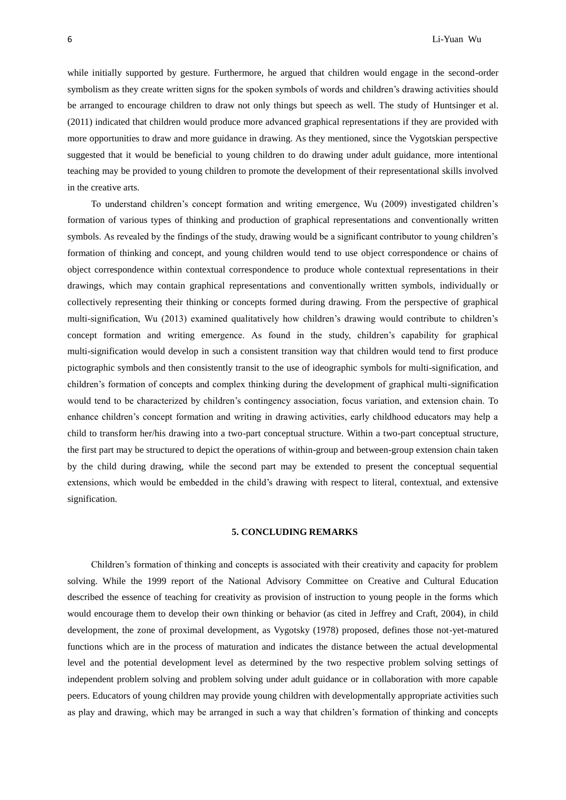while initially supported by gesture. Furthermore, he argued that children would engage in the second-order symbolism as they create written signs for the spoken symbols of words and children's drawing activities should be arranged to encourage children to draw not only things but speech as well. The study of Huntsinger et al. (2011) indicated that children would produce more advanced graphical representations if they are provided with more opportunities to draw and more guidance in drawing. As they mentioned, since the Vygotskian perspective suggested that it would be beneficial to young children to do drawing under adult guidance, more intentional teaching may be provided to young children to promote the development of their representational skills involved in the creative arts.

To understand children's concept formation and writing emergence, Wu (2009) investigated children's formation of various types of thinking and production of graphical representations and conventionally written symbols. As revealed by the findings of the study, drawing would be a significant contributor to young children's formation of thinking and concept, and young children would tend to use object correspondence or chains of object correspondence within contextual correspondence to produce whole contextual representations in their drawings, which may contain graphical representations and conventionally written symbols, individually or collectively representing their thinking or concepts formed during drawing. From the perspective of graphical multi-signification, Wu (2013) examined qualitatively how children's drawing would contribute to children's concept formation and writing emergence. As found in the study, children's capability for graphical multi-signification would develop in such a consistent transition way that children would tend to first produce pictographic symbols and then consistently transit to the use of ideographic symbols for multi-signification, and children's formation of concepts and complex thinking during the development of graphical multi-signification would tend to be characterized by children's contingency association, focus variation, and extension chain. To enhance children's concept formation and writing in drawing activities, early childhood educators may help a child to transform her/his drawing into a two-part conceptual structure. Within a two-part conceptual structure, the first part may be structured to depict the operations of within-group and between-group extension chain taken by the child during drawing, while the second part may be extended to present the conceptual sequential extensions, which would be embedded in the child's drawing with respect to literal, contextual, and extensive signification.

# **5. CONCLUDING REMARKS**

Children's formation of thinking and concepts is associated with their creativity and capacity for problem solving. While the 1999 report of the National Advisory Committee on Creative and Cultural Education described the essence of teaching for creativity as provision of instruction to young people in the forms which would encourage them to develop their own thinking or behavior (as cited in Jeffrey and Craft, 2004), in child development, the zone of proximal development, as Vygotsky (1978) proposed, defines those not-yet-matured functions which are in the process of maturation and indicates the distance between the actual developmental level and the potential development level as determined by the two respective problem solving settings of independent problem solving and problem solving under adult guidance or in collaboration with more capable peers. Educators of young children may provide young children with developmentally appropriate activities such as play and drawing, which may be arranged in such a way that children's formation of thinking and concepts